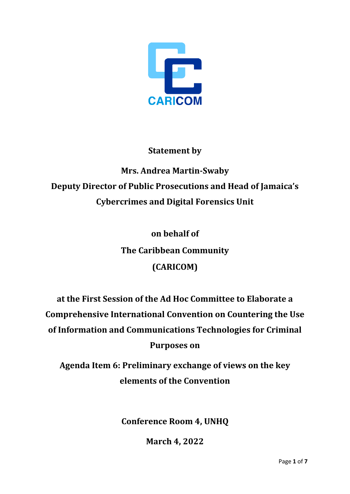

# **Statement by**

# **Mrs. Andrea Martin-Swaby Deputy Director of Public Prosecutions and Head of Jamaica's Cybercrimes and Digital Forensics Unit**

**on behalf of The Caribbean Community (CARICOM)**

**at the First Session of the Ad Hoc Committee to Elaborate a Comprehensive International Convention on Countering the Use of Information and Communications Technologies for Criminal Purposes on**

**Agenda Item 6: Preliminary exchange of views on the key elements of the Convention**

**Conference Room 4, UNHQ**

**March 4, 2022**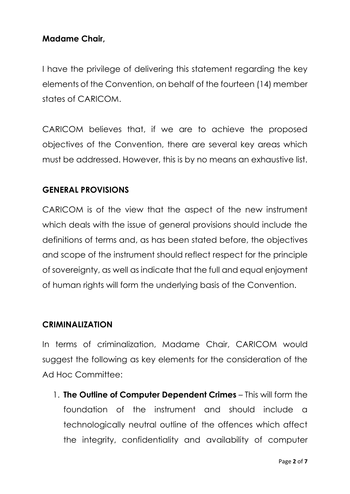## **Madame Chair,**

I have the privilege of delivering this statement regarding the key elements of the Convention, on behalf of the fourteen (14) member states of CARICOM.

CARICOM believes that, if we are to achieve the proposed objectives of the Convention, there are several key areas which must be addressed. However, this is by no means an exhaustive list.

#### **GENERAL PROVISIONS**

CARICOM is of the view that the aspect of the new instrument which deals with the issue of general provisions should include the definitions of terms and, as has been stated before, the objectives and scope of the instrument should reflect respect for the principle of sovereignty, as well as indicate that the full and equal enjoyment of human rights will form the underlying basis of the Convention.

#### **CRIMINALIZATION**

In terms of criminalization, Madame Chair, CARICOM would suggest the following as key elements for the consideration of the Ad Hoc Committee:

1. **The Outline of Computer Dependent Crimes** – This will form the foundation of the instrument and should include a technologically neutral outline of the offences which affect the integrity, confidentiality and availability of computer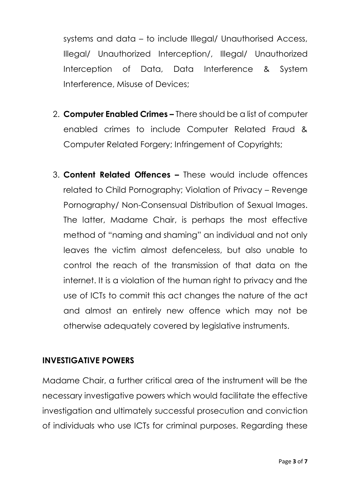systems and data – to include Illegal/ Unauthorised Access, Illegal/ Unauthorized Interception/, Illegal/ Unauthorized Interception of Data, Data Interference & System Interference, Misuse of Devices;

- 2. **Computer Enabled Crimes –** There should be a list of computer enabled crimes to include Computer Related Fraud & Computer Related Forgery; Infringement of Copyrights;
- 3. **Content Related Offences –** These would include offences related to Child Pornography; Violation of Privacy – Revenge Pornography/ Non-Consensual Distribution of Sexual Images. The latter, Madame Chair, is perhaps the most effective method of "naming and shaming" an individual and not only leaves the victim almost defenceless, but also unable to control the reach of the transmission of that data on the internet. It is a violation of the human right to privacy and the use of ICTs to commit this act changes the nature of the act and almost an entirely new offence which may not be otherwise adequately covered by legislative instruments.

## **INVESTIGATIVE POWERS**

Madame Chair, a further critical area of the instrument will be the necessary investigative powers which would facilitate the effective investigation and ultimately successful prosecution and conviction of individuals who use ICTs for criminal purposes. Regarding these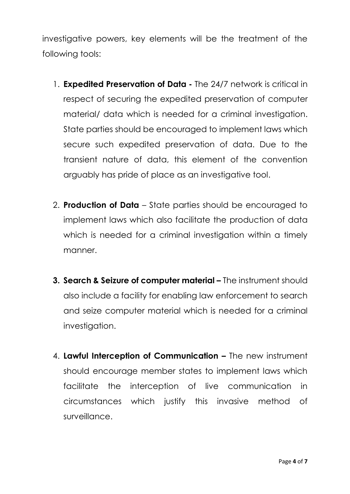investigative powers, key elements will be the treatment of the following tools:

- 1. **Expedited Preservation of Data -** The 24/7 network is critical in respect of securing the expedited preservation of computer material/ data which is needed for a criminal investigation. State parties should be encouraged to implement laws which secure such expedited preservation of data. Due to the transient nature of data, this element of the convention arguably has pride of place as an investigative tool.
- 2. **Production of Data** State parties should be encouraged to implement laws which also facilitate the production of data which is needed for a criminal investigation within a timely manner.
- **3. Search & Seizure of computer material –** The instrument should also include a facility for enabling law enforcement to search and seize computer material which is needed for a criminal investigation.
- 4. **Lawful Interception of Communication –** The new instrument should encourage member states to implement laws which facilitate the interception of live communication in circumstances which justify this invasive method of surveillance.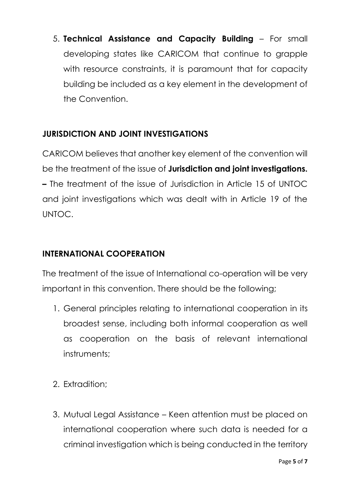5. **Technical Assistance and Capacity Building** – For small developing states like CARICOM that continue to grapple with resource constraints, it is paramount that for capacity building be included as a key element in the development of the Convention.

# **JURISDICTION AND JOINT INVESTIGATIONS**

CARICOM believes that another key element of the convention will be the treatment of the issue of **Jurisdiction and joint investigations. –** The treatment of the issue of Jurisdiction in Article 15 of UNTOC and joint investigations which was dealt with in Article 19 of the UNTOC.

## **INTERNATIONAL COOPERATION**

The treatment of the issue of International co-operation will be very important in this convention. There should be the following;

- 1. General principles relating to international cooperation in its broadest sense, including both informal cooperation as well as cooperation on the basis of relevant international instruments;
- 2. Extradition;
- 3. Mutual Legal Assistance Keen attention must be placed on international cooperation where such data is needed for a criminal investigation which is being conducted in the territory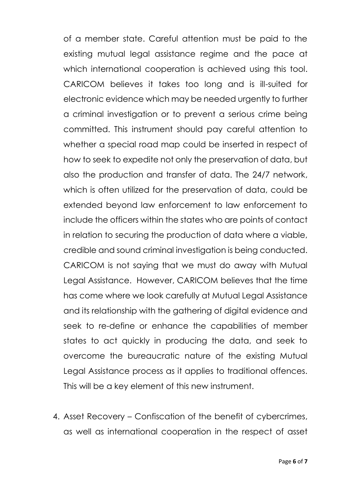of a member state. Careful attention must be paid to the existing mutual legal assistance regime and the pace at which international cooperation is achieved using this tool. CARICOM believes it takes too long and is ill-suited for electronic evidence which may be needed urgently to further a criminal investigation or to prevent a serious crime being committed. This instrument should pay careful attention to whether a special road map could be inserted in respect of how to seek to expedite not only the preservation of data, but also the production and transfer of data. The 24/7 network, which is often utilized for the preservation of data, could be extended beyond law enforcement to law enforcement to include the officers within the states who are points of contact in relation to securing the production of data where a viable, credible and sound criminal investigation is being conducted. CARICOM is not saying that we must do away with Mutual Legal Assistance. However, CARICOM believes that the time has come where we look carefully at Mutual Legal Assistance and its relationship with the gathering of digital evidence and seek to re-define or enhance the capabilities of member states to act quickly in producing the data, and seek to overcome the bureaucratic nature of the existing Mutual Legal Assistance process as it applies to traditional offences. This will be a key element of this new instrument.

4. Asset Recovery – Confiscation of the benefit of cybercrimes, as well as international cooperation in the respect of asset